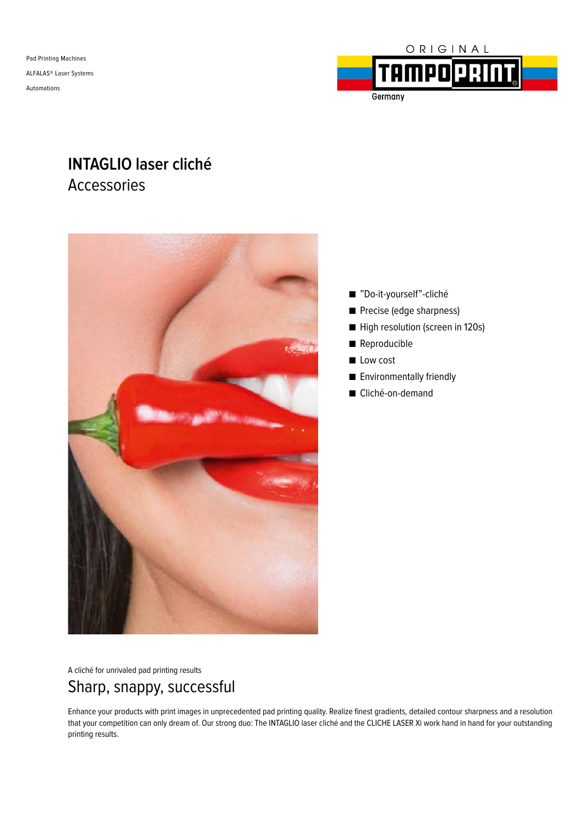Pad Printing Machines ALFALAS® Laser Systems Automations



# **INTAGLIO laser cliché** Accessories





A cliché for unrivaled pad printing results

# Sharp, snappy, successful

Enhance your products with print images in unprecedented pad printing quality. Realize finest gradients, detailed contour sharpness and a resolution that your competition can only dream of. Our strong duo: The INTAGLIO laser cliché and the CLICHE LASER Xi work hand in hand for your outstanding printing results.